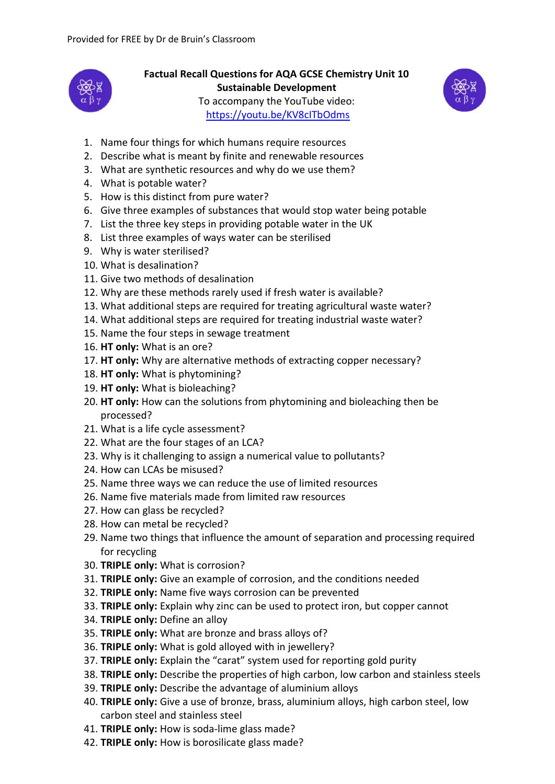

**Factual Recall Questions for AQA GCSE Chemistry Unit 10 Sustainable Development** To accompany the YouTube video: <https://youtu.be/KV8cITbOdms>



- 1. Name four things for which humans require resources
- 2. Describe what is meant by finite and renewable resources
- 3. What are synthetic resources and why do we use them?
- 4. What is potable water?
- 5. How is this distinct from pure water?
- 6. Give three examples of substances that would stop water being potable
- 7. List the three key steps in providing potable water in the UK
- 8. List three examples of ways water can be sterilised
- 9. Why is water sterilised?
- 10. What is desalination?
- 11. Give two methods of desalination
- 12. Why are these methods rarely used if fresh water is available?
- 13. What additional steps are required for treating agricultural waste water?
- 14. What additional steps are required for treating industrial waste water?
- 15. Name the four steps in sewage treatment
- 16. **HT only:** What is an ore?
- 17. **HT only:** Why are alternative methods of extracting copper necessary?
- 18. **HT only:** What is phytomining?
- 19. **HT only:** What is bioleaching?
- 20. **HT only:** How can the solutions from phytomining and bioleaching then be processed?
- 21. What is a life cycle assessment?
- 22. What are the four stages of an LCA?
- 23. Why is it challenging to assign a numerical value to pollutants?
- 24. How can LCAs be misused?
- 25. Name three ways we can reduce the use of limited resources
- 26. Name five materials made from limited raw resources
- 27. How can glass be recycled?
- 28. How can metal be recycled?
- 29. Name two things that influence the amount of separation and processing required for recycling
- 30. **TRIPLE only:** What is corrosion?
- 31. **TRIPLE only:** Give an example of corrosion, and the conditions needed
- 32. **TRIPLE only:** Name five ways corrosion can be prevented
- 33. **TRIPLE only:** Explain why zinc can be used to protect iron, but copper cannot
- 34. **TRIPLE only:** Define an alloy
- 35. **TRIPLE only:** What are bronze and brass alloys of?
- 36. **TRIPLE only:** What is gold alloyed with in jewellery?
- 37. **TRIPLE only:** Explain the "carat" system used for reporting gold purity
- 38. **TRIPLE only:** Describe the properties of high carbon, low carbon and stainless steels
- 39. **TRIPLE only:** Describe the advantage of aluminium alloys
- 40. **TRIPLE only:** Give a use of bronze, brass, aluminium alloys, high carbon steel, low carbon steel and stainless steel
- 41. **TRIPLE only:** How is soda-lime glass made?
- 42. **TRIPLE only:** How is borosilicate glass made?